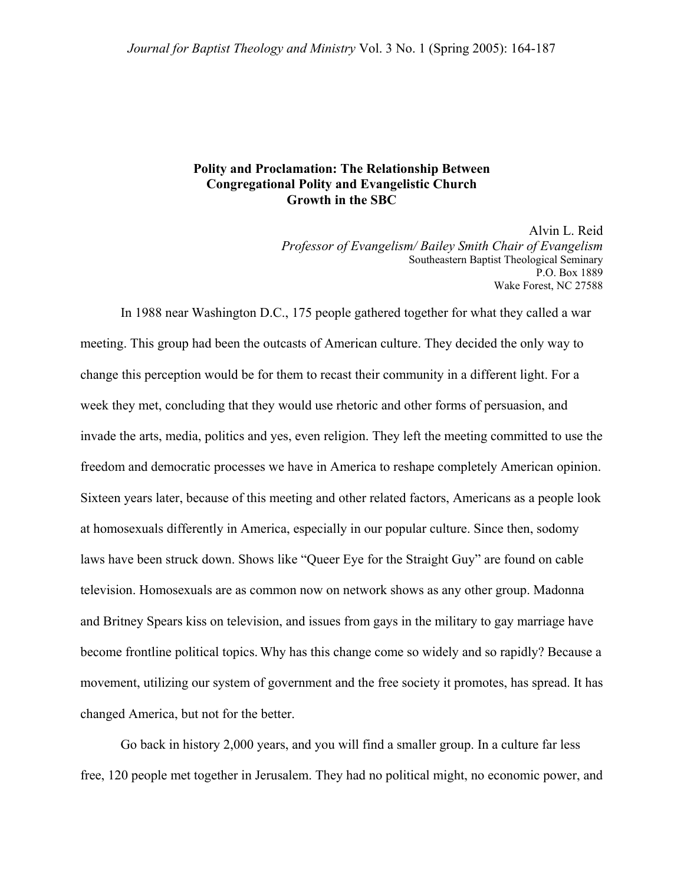## **Polity and Proclamation: The Relationship Between Congregational Polity and Evangelistic Church Growth in the SBC**

Alvin L. Reid *Professor of Evangelism/ Bailey Smith Chair of Evangelism*  Southeastern Baptist Theological Seminary P.O. Box 1889 Wake Forest, NC 27588

In 1988 near Washington D.C., 175 people gathered together for what they called a war meeting. This group had been the outcasts of American culture. They decided the only way to change this perception would be for them to recast their community in a different light. For a week they met, concluding that they would use rhetoric and other forms of persuasion, and invade the arts, media, politics and yes, even religion. They left the meeting committed to use the freedom and democratic processes we have in America to reshape completely American opinion. Sixteen years later, because of this meeting and other related factors, Americans as a people look at homosexuals differently in America, especially in our popular culture. Since then, sodomy laws have been struck down. Shows like "Queer Eye for the Straight Guy" are found on cable television. Homosexuals are as common now on network shows as any other group. Madonna and Britney Spears kiss on television, and issues from gays in the military to gay marriage have become frontline political topics. Why has this change come so widely and so rapidly? Because a movement, utilizing our system of government and the free society it promotes, has spread. It has changed America, but not for the better.

Go back in history 2,000 years, and you will find a smaller group. In a culture far less free, 120 people met together in Jerusalem. They had no political might, no economic power, and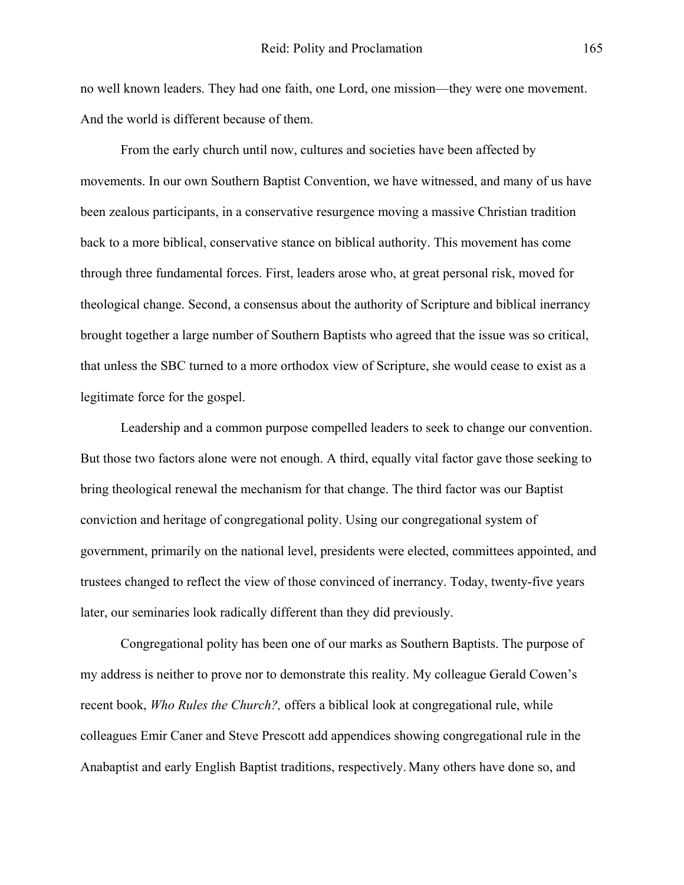no well known leaders. They had one faith, one Lord, one mission—they were one movement. And the world is different because of them.

From the early church until now, cultures and societies have been affected by movements. In our own Southern Baptist Convention, we have witnessed, and many of us have been zealous participants, in a conservative resurgence moving a massive Christian tradition back to a more biblical, conservative stance on biblical authority. This movement has come through three fundamental forces. First, leaders arose who, at great personal risk, moved for theological change. Second, a consensus about the authority of Scripture and biblical inerrancy brought together a large number of Southern Baptists who agreed that the issue was so critical, that unless the SBC turned to a more orthodox view of Scripture, she would cease to exist as a legitimate force for the gospel.

Leadership and a common purpose compelled leaders to seek to change our convention. But those two factors alone were not enough. A third, equally vital factor gave those seeking to bring theological renewal the mechanism for that change. The third factor was our Baptist conviction and heritage of congregational polity. Using our congregational system of government, primarily on the national level, presidents were elected, committees appointed, and trustees changed to reflect the view of those convinced of inerrancy. Today, twenty-five years later, our seminaries look radically different than they did previously.

Congregational polity has been one of our marks as Southern Baptists. The purpose of my address is neither to prove nor to demonstrate this reality. My colleague Gerald Cowen's recent book, *Who Rules the Church?,* offers a biblical look at congregational rule, while colleagues Emir Caner and Steve Prescott add appendices showing congregational rule in the Anabaptist and early English Baptist traditions, respectively. Many others have done so, and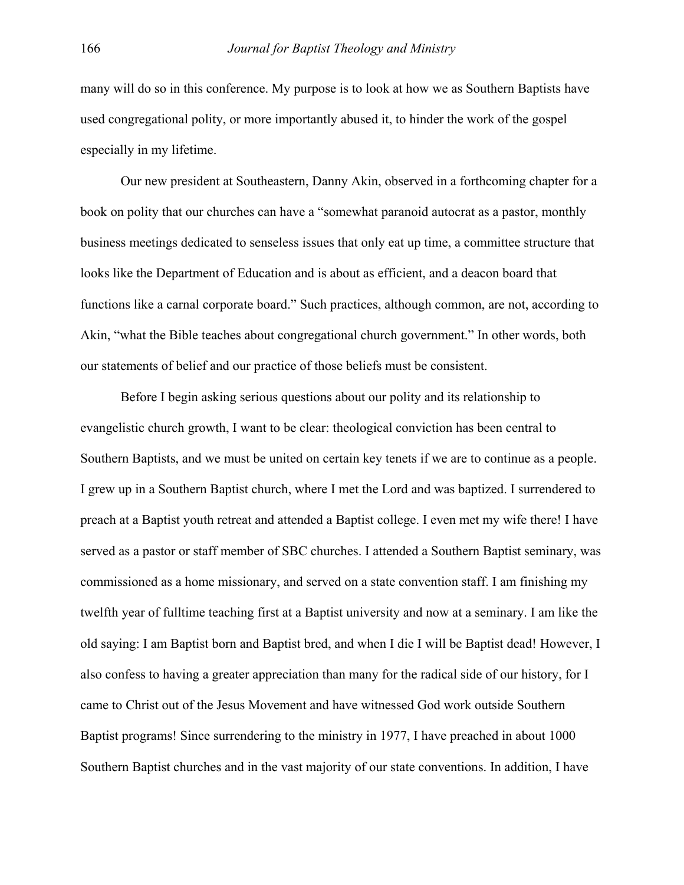many will do so in this conference. My purpose is to look at how we as Southern Baptists have used congregational polity, or more importantly abused it, to hinder the work of the gospel especially in my lifetime.

Our new president at Southeastern, Danny Akin, observed in a forthcoming chapter for a book on polity that our churches can have a "somewhat paranoid autocrat as a pastor, monthly business meetings dedicated to senseless issues that only eat up time, a committee structure that looks like the Department of Education and is about as efficient, and a deacon board that functions like a carnal corporate board." Such practices, although common, are not, according to Akin, "what the Bible teaches about congregational church government." In other words, both our statements of belief and our practice of those beliefs must be consistent.

 Before I begin asking serious questions about our polity and its relationship to evangelistic church growth, I want to be clear: theological conviction has been central to Southern Baptists, and we must be united on certain key tenets if we are to continue as a people. I grew up in a Southern Baptist church, where I met the Lord and was baptized. I surrendered to preach at a Baptist youth retreat and attended a Baptist college. I even met my wife there! I have served as a pastor or staff member of SBC churches. I attended a Southern Baptist seminary, was commissioned as a home missionary, and served on a state convention staff. I am finishing my twelfth year of fulltime teaching first at a Baptist university and now at a seminary. I am like the old saying: I am Baptist born and Baptist bred, and when I die I will be Baptist dead! However, I also confess to having a greater appreciation than many for the radical side of our history, for I came to Christ out of the Jesus Movement and have witnessed God work outside Southern Baptist programs! Since surrendering to the ministry in 1977, I have preached in about 1000 Southern Baptist churches and in the vast majority of our state conventions. In addition, I have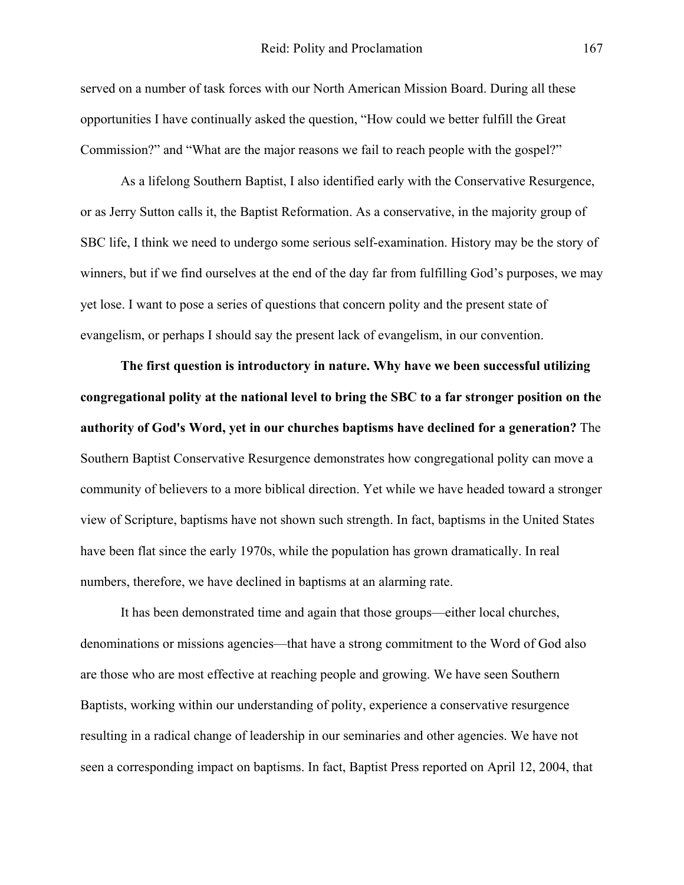served on a number of task forces with our North American Mission Board. During all these opportunities I have continually asked the question, "How could we better fulfill the Great Commission?" and "What are the major reasons we fail to reach people with the gospel?"

As a lifelong Southern Baptist, I also identified early with the Conservative Resurgence, or as Jerry Sutton calls it, the Baptist Reformation. As a conservative, in the majority group of SBC life, I think we need to undergo some serious self-examination. History may be the story of winners, but if we find ourselves at the end of the day far from fulfilling God's purposes, we may yet lose. I want to pose a series of questions that concern polity and the present state of evangelism, or perhaps I should say the present lack of evangelism, in our convention.

**The first question is introductory in nature. Why have we been successful utilizing congregational polity at the national level to bring the SBC to a far stronger position on the authority of God's Word, yet in our churches baptisms have declined for a generation?** The Southern Baptist Conservative Resurgence demonstrates how congregational polity can move a community of believers to a more biblical direction. Yet while we have headed toward a stronger view of Scripture, baptisms have not shown such strength. In fact, baptisms in the United States have been flat since the early 1970s, while the population has grown dramatically. In real numbers, therefore, we have declined in baptisms at an alarming rate.

It has been demonstrated time and again that those groups—either local churches, denominations or missions agencies—that have a strong commitment to the Word of God also are those who are most effective at reaching people and growing. We have seen Southern Baptists, working within our understanding of polity, experience a conservative resurgence resulting in a radical change of leadership in our seminaries and other agencies. We have not seen a corresponding impact on baptisms. In fact, Baptist Press reported on April 12, 2004, that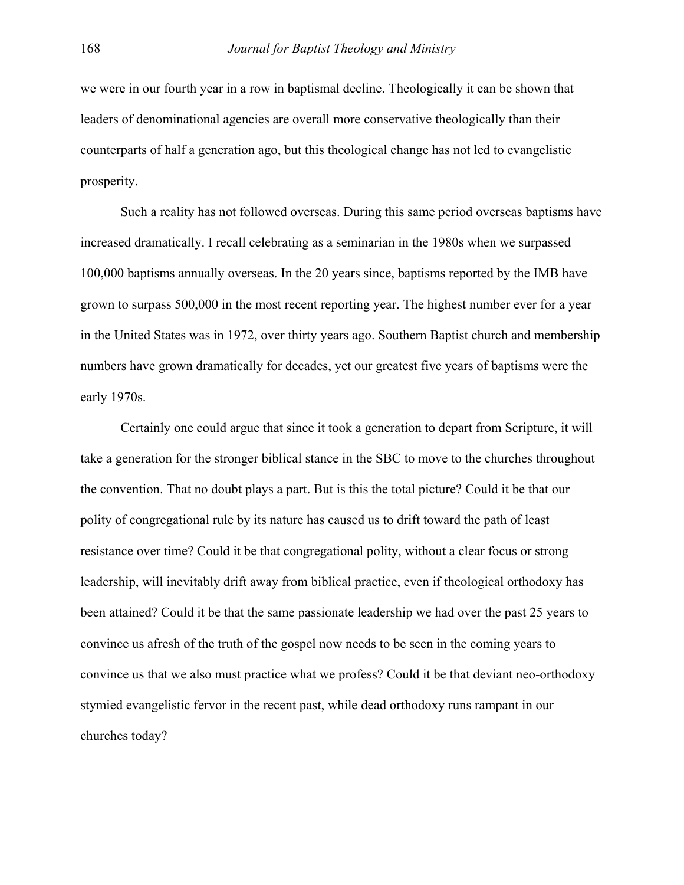we were in our fourth year in a row in baptismal decline. Theologically it can be shown that leaders of denominational agencies are overall more conservative theologically than their counterparts of half a generation ago, but this theological change has not led to evangelistic prosperity.

Such a reality has not followed overseas. During this same period overseas baptisms have increased dramatically. I recall celebrating as a seminarian in the 1980s when we surpassed 100,000 baptisms annually overseas. In the 20 years since, baptisms reported by the IMB have grown to surpass 500,000 in the most recent reporting year. The highest number ever for a year in the United States was in 1972, over thirty years ago. Southern Baptist church and membership numbers have grown dramatically for decades, yet our greatest five years of baptisms were the early 1970s.

Certainly one could argue that since it took a generation to depart from Scripture, it will take a generation for the stronger biblical stance in the SBC to move to the churches throughout the convention. That no doubt plays a part. But is this the total picture? Could it be that our polity of congregational rule by its nature has caused us to drift toward the path of least resistance over time? Could it be that congregational polity, without a clear focus or strong leadership, will inevitably drift away from biblical practice, even if theological orthodoxy has been attained? Could it be that the same passionate leadership we had over the past 25 years to convince us afresh of the truth of the gospel now needs to be seen in the coming years to convince us that we also must practice what we profess? Could it be that deviant neo-orthodoxy stymied evangelistic fervor in the recent past, while dead orthodoxy runs rampant in our churches today?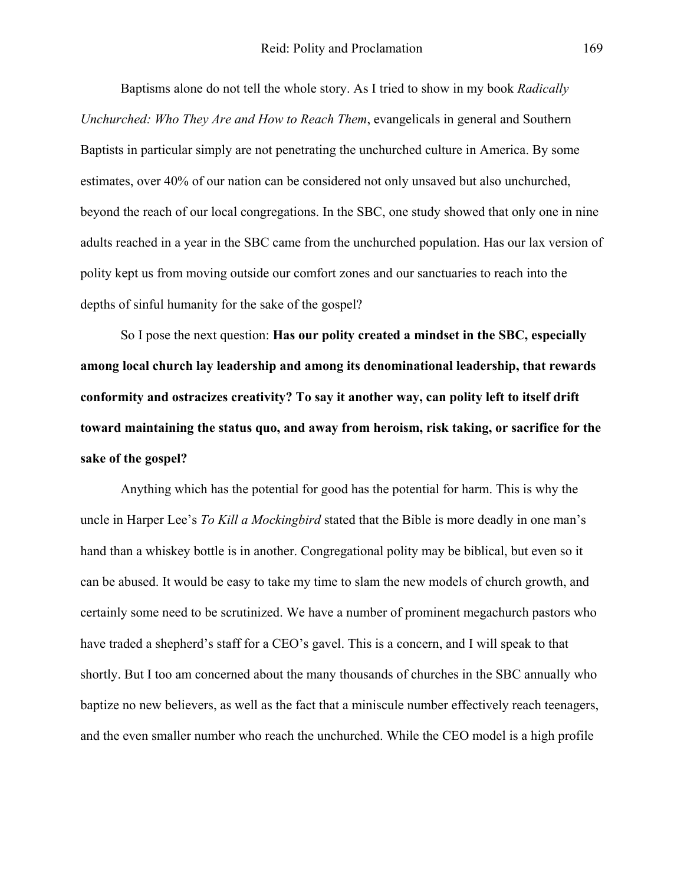Baptisms alone do not tell the whole story. As I tried to show in my book *Radically Unchurched: Who They Are and How to Reach Them*, evangelicals in general and Southern Baptists in particular simply are not penetrating the unchurched culture in America. By some estimates, over 40% of our nation can be considered not only unsaved but also unchurched, beyond the reach of our local congregations. In the SBC, one study showed that only one in nine adults reached in a year in the SBC came from the unchurched population. Has our lax version of polity kept us from moving outside our comfort zones and our sanctuaries to reach into the depths of sinful humanity for the sake of the gospel?

So I pose the next question: **Has our polity created a mindset in the SBC, especially among local church lay leadership and among its denominational leadership, that rewards conformity and ostracizes creativity? To say it another way, can polity left to itself drift toward maintaining the status quo, and away from heroism, risk taking, or sacrifice for the sake of the gospel?**

Anything which has the potential for good has the potential for harm. This is why the uncle in Harper Lee's *To Kill a Mockingbird* stated that the Bible is more deadly in one man's hand than a whiskey bottle is in another. Congregational polity may be biblical, but even so it can be abused. It would be easy to take my time to slam the new models of church growth, and certainly some need to be scrutinized. We have a number of prominent megachurch pastors who have traded a shepherd's staff for a CEO's gavel. This is a concern, and I will speak to that shortly. But I too am concerned about the many thousands of churches in the SBC annually who baptize no new believers, as well as the fact that a miniscule number effectively reach teenagers, and the even smaller number who reach the unchurched. While the CEO model is a high profile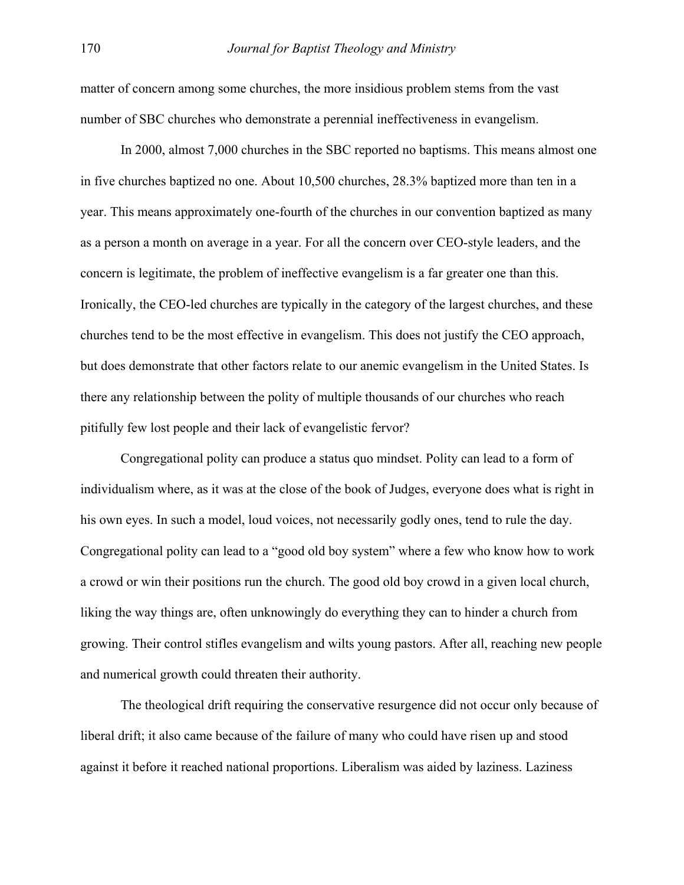matter of concern among some churches, the more insidious problem stems from the vast number of SBC churches who demonstrate a perennial ineffectiveness in evangelism.

In 2000, almost 7,000 churches in the SBC reported no baptisms. This means almost one in five churches baptized no one. About 10,500 churches, 28.3% baptized more than ten in a year. This means approximately one-fourth of the churches in our convention baptized as many as a person a month on average in a year. For all the concern over CEO-style leaders, and the concern is legitimate, the problem of ineffective evangelism is a far greater one than this. Ironically, the CEO-led churches are typically in the category of the largest churches, and these churches tend to be the most effective in evangelism. This does not justify the CEO approach, but does demonstrate that other factors relate to our anemic evangelism in the United States. Is there any relationship between the polity of multiple thousands of our churches who reach pitifully few lost people and their lack of evangelistic fervor?

Congregational polity can produce a status quo mindset. Polity can lead to a form of individualism where, as it was at the close of the book of Judges, everyone does what is right in his own eyes. In such a model, loud voices, not necessarily godly ones, tend to rule the day. Congregational polity can lead to a "good old boy system" where a few who know how to work a crowd or win their positions run the church. The good old boy crowd in a given local church, liking the way things are, often unknowingly do everything they can to hinder a church from growing. Their control stifles evangelism and wilts young pastors. After all, reaching new people and numerical growth could threaten their authority.

The theological drift requiring the conservative resurgence did not occur only because of liberal drift; it also came because of the failure of many who could have risen up and stood against it before it reached national proportions. Liberalism was aided by laziness. Laziness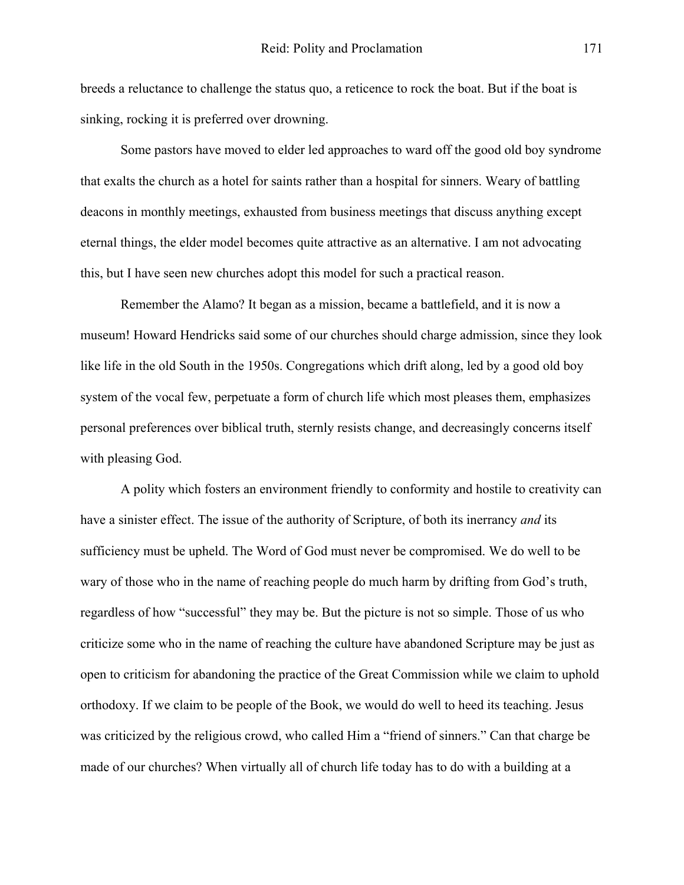breeds a reluctance to challenge the status quo, a reticence to rock the boat. But if the boat is sinking, rocking it is preferred over drowning.

Some pastors have moved to elder led approaches to ward off the good old boy syndrome that exalts the church as a hotel for saints rather than a hospital for sinners. Weary of battling deacons in monthly meetings, exhausted from business meetings that discuss anything except eternal things, the elder model becomes quite attractive as an alternative. I am not advocating this, but I have seen new churches adopt this model for such a practical reason.

Remember the Alamo? It began as a mission, became a battlefield, and it is now a museum! Howard Hendricks said some of our churches should charge admission, since they look like life in the old South in the 1950s. Congregations which drift along, led by a good old boy system of the vocal few, perpetuate a form of church life which most pleases them, emphasizes personal preferences over biblical truth, sternly resists change, and decreasingly concerns itself with pleasing God.

A polity which fosters an environment friendly to conformity and hostile to creativity can have a sinister effect. The issue of the authority of Scripture, of both its inerrancy *and* its sufficiency must be upheld. The Word of God must never be compromised. We do well to be wary of those who in the name of reaching people do much harm by drifting from God's truth, regardless of how "successful" they may be. But the picture is not so simple. Those of us who criticize some who in the name of reaching the culture have abandoned Scripture may be just as open to criticism for abandoning the practice of the Great Commission while we claim to uphold orthodoxy. If we claim to be people of the Book, we would do well to heed its teaching. Jesus was criticized by the religious crowd, who called Him a "friend of sinners." Can that charge be made of our churches? When virtually all of church life today has to do with a building at a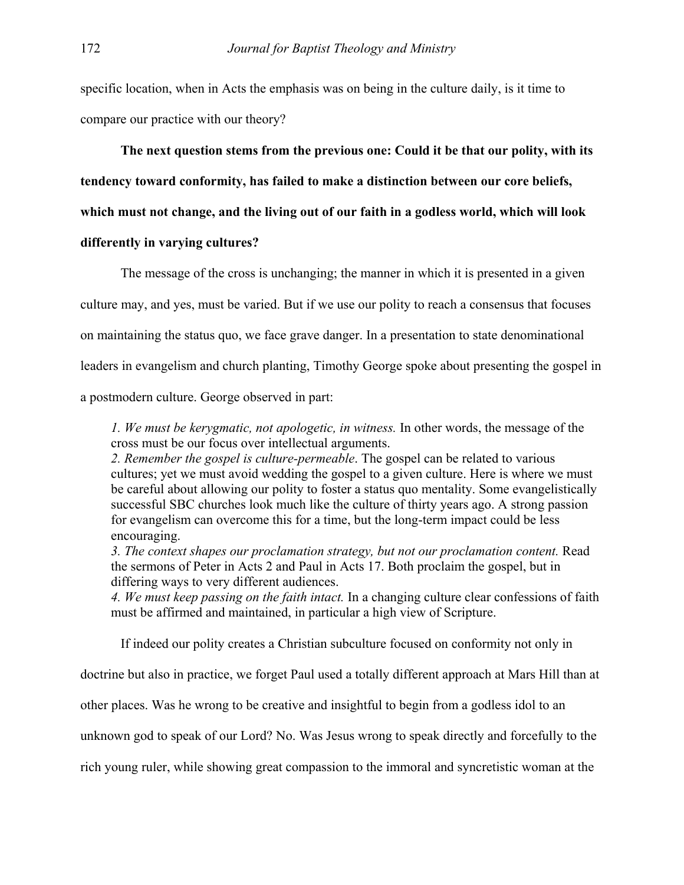specific location, when in Acts the emphasis was on being in the culture daily, is it time to compare our practice with our theory?

**The next question stems from the previous one: Could it be that our polity, with its** 

**tendency toward conformity, has failed to make a distinction between our core beliefs,** 

**which must not change, and the living out of our faith in a godless world, which will look** 

## **differently in varying cultures?**

The message of the cross is unchanging; the manner in which it is presented in a given culture may, and yes, must be varied. But if we use our polity to reach a consensus that focuses on maintaining the status quo, we face grave danger. In a presentation to state denominational leaders in evangelism and church planting, Timothy George spoke about presenting the gospel in a postmodern culture. George observed in part:

*1. We must be kerygmatic, not apologetic, in witness.* In other words, the message of the cross must be our focus over intellectual arguments.

*2. Remember the gospel is culture-permeable*. The gospel can be related to various cultures; yet we must avoid wedding the gospel to a given culture. Here is where we must be careful about allowing our polity to foster a status quo mentality. Some evangelistically successful SBC churches look much like the culture of thirty years ago. A strong passion for evangelism can overcome this for a time, but the long-term impact could be less encouraging.

*3. The context shapes our proclamation strategy, but not our proclamation content.* Read the sermons of Peter in Acts 2 and Paul in Acts 17. Both proclaim the gospel, but in differing ways to very different audiences.

*4. We must keep passing on the faith intact.* In a changing culture clear confessions of faith must be affirmed and maintained, in particular a high view of Scripture.

If indeed our polity creates a Christian subculture focused on conformity not only in

doctrine but also in practice, we forget Paul used a totally different approach at Mars Hill than at

other places. Was he wrong to be creative and insightful to begin from a godless idol to an

unknown god to speak of our Lord? No. Was Jesus wrong to speak directly and forcefully to the

rich young ruler, while showing great compassion to the immoral and syncretistic woman at the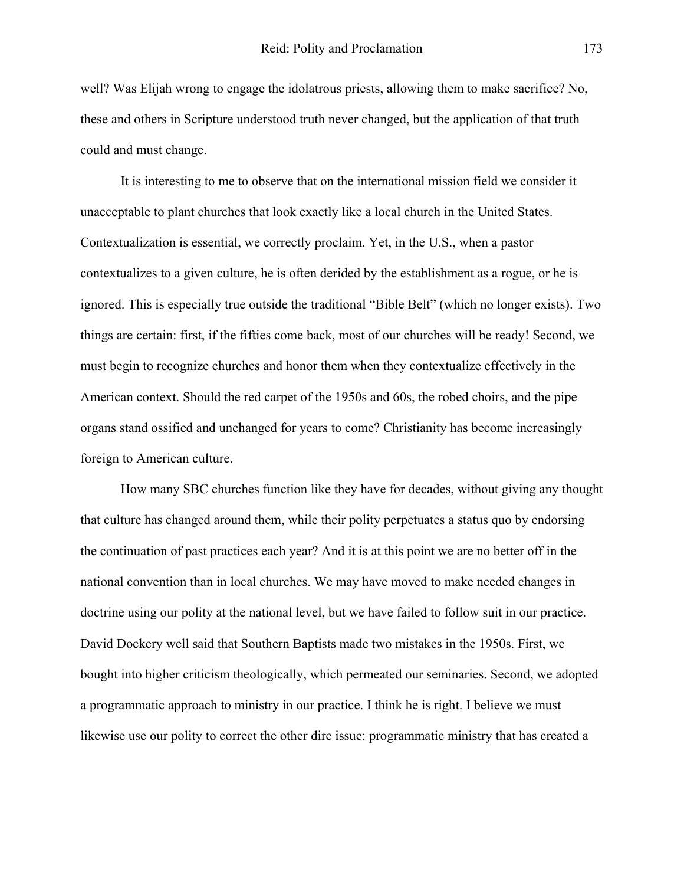well? Was Elijah wrong to engage the idolatrous priests, allowing them to make sacrifice? No, these and others in Scripture understood truth never changed, but the application of that truth could and must change.

It is interesting to me to observe that on the international mission field we consider it unacceptable to plant churches that look exactly like a local church in the United States. Contextualization is essential, we correctly proclaim. Yet, in the U.S., when a pastor contextualizes to a given culture, he is often derided by the establishment as a rogue, or he is ignored. This is especially true outside the traditional "Bible Belt" (which no longer exists). Two things are certain: first, if the fifties come back, most of our churches will be ready! Second, we must begin to recognize churches and honor them when they contextualize effectively in the American context. Should the red carpet of the 1950s and 60s, the robed choirs, and the pipe organs stand ossified and unchanged for years to come? Christianity has become increasingly foreign to American culture.

How many SBC churches function like they have for decades, without giving any thought that culture has changed around them, while their polity perpetuates a status quo by endorsing the continuation of past practices each year? And it is at this point we are no better off in the national convention than in local churches. We may have moved to make needed changes in doctrine using our polity at the national level, but we have failed to follow suit in our practice. David Dockery well said that Southern Baptists made two mistakes in the 1950s. First, we bought into higher criticism theologically, which permeated our seminaries. Second, we adopted a programmatic approach to ministry in our practice. I think he is right. I believe we must likewise use our polity to correct the other dire issue: programmatic ministry that has created a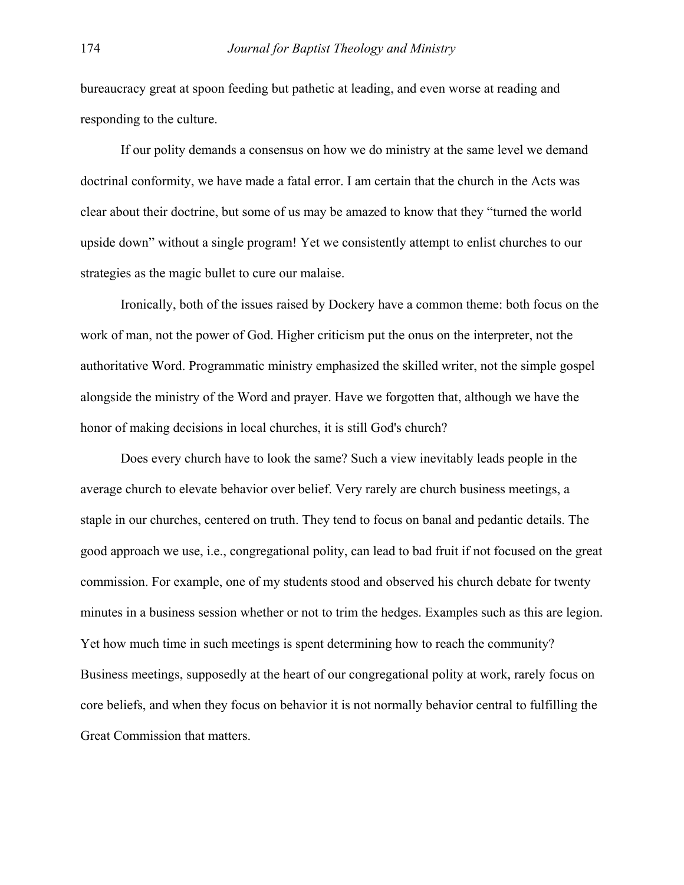bureaucracy great at spoon feeding but pathetic at leading, and even worse at reading and responding to the culture.

If our polity demands a consensus on how we do ministry at the same level we demand doctrinal conformity, we have made a fatal error. I am certain that the church in the Acts was clear about their doctrine, but some of us may be amazed to know that they "turned the world upside down" without a single program! Yet we consistently attempt to enlist churches to our strategies as the magic bullet to cure our malaise.

Ironically, both of the issues raised by Dockery have a common theme: both focus on the work of man, not the power of God. Higher criticism put the onus on the interpreter, not the authoritative Word. Programmatic ministry emphasized the skilled writer, not the simple gospel alongside the ministry of the Word and prayer. Have we forgotten that, although we have the honor of making decisions in local churches, it is still God's church?

Does every church have to look the same? Such a view inevitably leads people in the average church to elevate behavior over belief. Very rarely are church business meetings, a staple in our churches, centered on truth. They tend to focus on banal and pedantic details. The good approach we use, i.e., congregational polity, can lead to bad fruit if not focused on the great commission. For example, one of my students stood and observed his church debate for twenty minutes in a business session whether or not to trim the hedges. Examples such as this are legion. Yet how much time in such meetings is spent determining how to reach the community? Business meetings, supposedly at the heart of our congregational polity at work, rarely focus on core beliefs, and when they focus on behavior it is not normally behavior central to fulfilling the Great Commission that matters.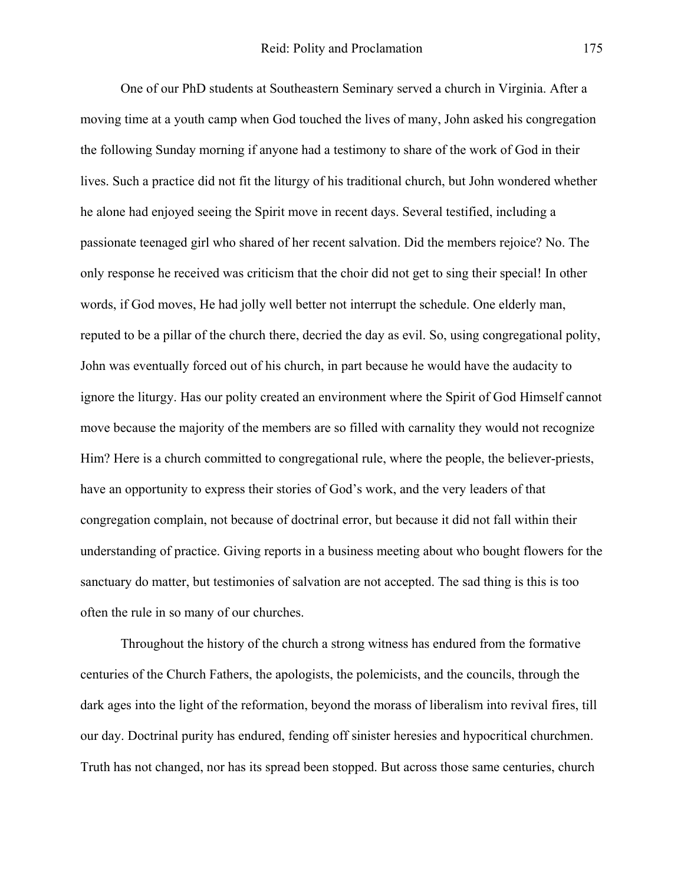One of our PhD students at Southeastern Seminary served a church in Virginia. After a moving time at a youth camp when God touched the lives of many, John asked his congregation the following Sunday morning if anyone had a testimony to share of the work of God in their lives. Such a practice did not fit the liturgy of his traditional church, but John wondered whether he alone had enjoyed seeing the Spirit move in recent days. Several testified, including a passionate teenaged girl who shared of her recent salvation. Did the members rejoice? No. The only response he received was criticism that the choir did not get to sing their special! In other words, if God moves, He had jolly well better not interrupt the schedule. One elderly man, reputed to be a pillar of the church there, decried the day as evil. So, using congregational polity, John was eventually forced out of his church, in part because he would have the audacity to ignore the liturgy. Has our polity created an environment where the Spirit of God Himself cannot move because the majority of the members are so filled with carnality they would not recognize Him? Here is a church committed to congregational rule, where the people, the believer-priests, have an opportunity to express their stories of God's work, and the very leaders of that congregation complain, not because of doctrinal error, but because it did not fall within their understanding of practice. Giving reports in a business meeting about who bought flowers for the sanctuary do matter, but testimonies of salvation are not accepted. The sad thing is this is too often the rule in so many of our churches.

Throughout the history of the church a strong witness has endured from the formative centuries of the Church Fathers, the apologists, the polemicists, and the councils, through the dark ages into the light of the reformation, beyond the morass of liberalism into revival fires, till our day. Doctrinal purity has endured, fending off sinister heresies and hypocritical churchmen. Truth has not changed, nor has its spread been stopped. But across those same centuries, church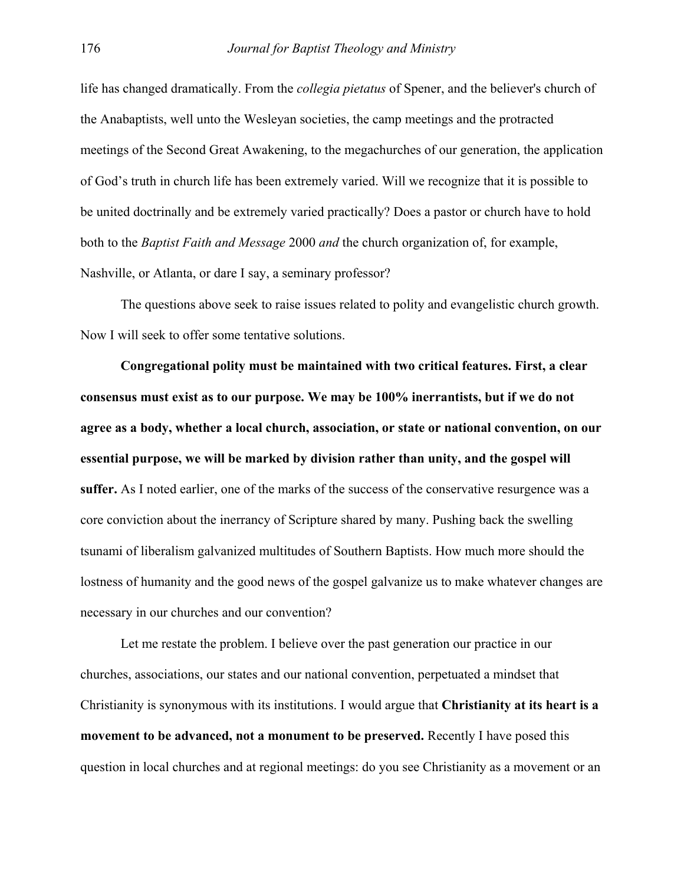life has changed dramatically. From the *collegia pietatus* of Spener, and the believer's church of the Anabaptists, well unto the Wesleyan societies, the camp meetings and the protracted meetings of the Second Great Awakening, to the megachurches of our generation, the application of God's truth in church life has been extremely varied. Will we recognize that it is possible to be united doctrinally and be extremely varied practically? Does a pastor or church have to hold both to the *Baptist Faith and Message* 2000 *and* the church organization of, for example, Nashville, or Atlanta, or dare I say, a seminary professor?

The questions above seek to raise issues related to polity and evangelistic church growth. Now I will seek to offer some tentative solutions.

**Congregational polity must be maintained with two critical features. First, a clear consensus must exist as to our purpose. We may be 100% inerrantists, but if we do not agree as a body, whether a local church, association, or state or national convention, on our essential purpose, we will be marked by division rather than unity, and the gospel will suffer.** As I noted earlier, one of the marks of the success of the conservative resurgence was a core conviction about the inerrancy of Scripture shared by many. Pushing back the swelling tsunami of liberalism galvanized multitudes of Southern Baptists. How much more should the lostness of humanity and the good news of the gospel galvanize us to make whatever changes are necessary in our churches and our convention?

Let me restate the problem. I believe over the past generation our practice in our churches, associations, our states and our national convention, perpetuated a mindset that Christianity is synonymous with its institutions. I would argue that **Christianity at its heart is a movement to be advanced, not a monument to be preserved.** Recently I have posed this question in local churches and at regional meetings: do you see Christianity as a movement or an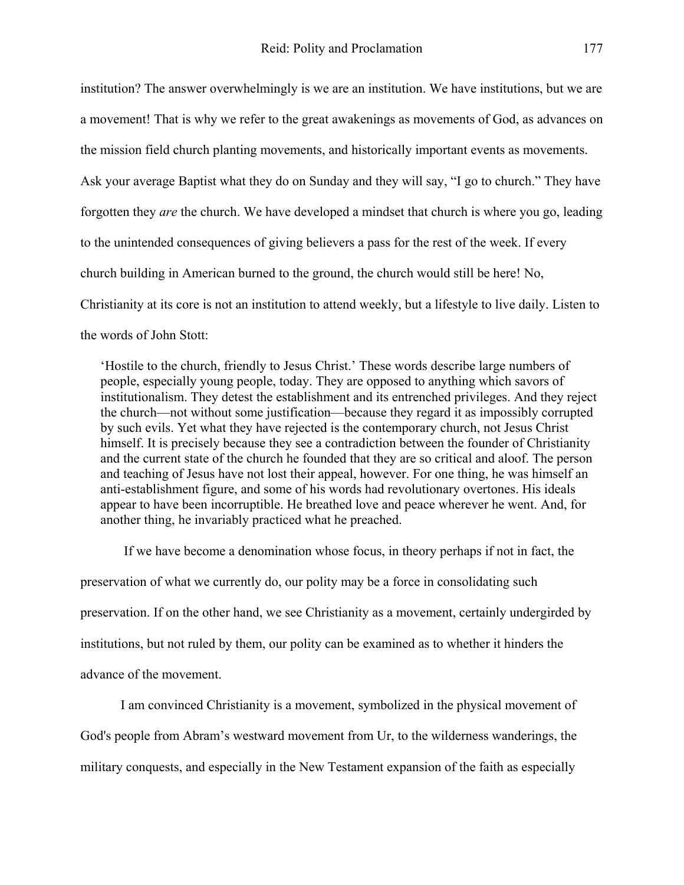institution? The answer overwhelmingly is we are an institution. We have institutions, but we are a movement! That is why we refer to the great awakenings as movements of God, as advances on the mission field church planting movements, and historically important events as movements. Ask your average Baptist what they do on Sunday and they will say, "I go to church." They have forgotten they *are* the church. We have developed a mindset that church is where you go, leading to the unintended consequences of giving believers a pass for the rest of the week. If every church building in American burned to the ground, the church would still be here! No, Christianity at its core is not an institution to attend weekly, but a lifestyle to live daily. Listen to the words of John Stott:

'Hostile to the church, friendly to Jesus Christ.' These words describe large numbers of people, especially young people, today. They are opposed to anything which savors of institutionalism. They detest the establishment and its entrenched privileges. And they reject the church—not without some justification—because they regard it as impossibly corrupted by such evils. Yet what they have rejected is the contemporary church, not Jesus Christ himself. It is precisely because they see a contradiction between the founder of Christianity and the current state of the church he founded that they are so critical and aloof. The person and teaching of Jesus have not lost their appeal, however. For one thing, he was himself an anti-establishment figure, and some of his words had revolutionary overtones. His ideals appear to have been incorruptible. He breathed love and peace wherever he went. And, for another thing, he invariably practiced what he preached.

 If we have become a denomination whose focus, in theory perhaps if not in fact, the preservation of what we currently do, our polity may be a force in consolidating such preservation. If on the other hand, we see Christianity as a movement, certainly undergirded by institutions, but not ruled by them, our polity can be examined as to whether it hinders the advance of the movement.

I am convinced Christianity is a movement, symbolized in the physical movement of God's people from Abram's westward movement from Ur, to the wilderness wanderings, the military conquests, and especially in the New Testament expansion of the faith as especially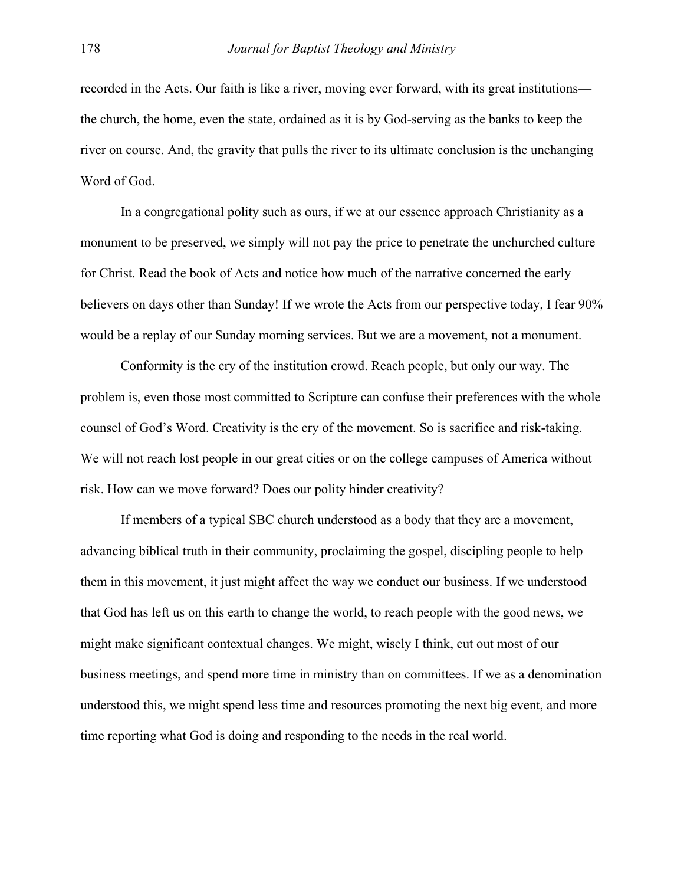recorded in the Acts. Our faith is like a river, moving ever forward, with its great institutions the church, the home, even the state, ordained as it is by God-serving as the banks to keep the river on course. And, the gravity that pulls the river to its ultimate conclusion is the unchanging Word of God.

In a congregational polity such as ours, if we at our essence approach Christianity as a monument to be preserved, we simply will not pay the price to penetrate the unchurched culture for Christ. Read the book of Acts and notice how much of the narrative concerned the early believers on days other than Sunday! If we wrote the Acts from our perspective today, I fear 90% would be a replay of our Sunday morning services. But we are a movement, not a monument.

Conformity is the cry of the institution crowd. Reach people, but only our way. The problem is, even those most committed to Scripture can confuse their preferences with the whole counsel of God's Word. Creativity is the cry of the movement. So is sacrifice and risk-taking. We will not reach lost people in our great cities or on the college campuses of America without risk. How can we move forward? Does our polity hinder creativity?

If members of a typical SBC church understood as a body that they are a movement, advancing biblical truth in their community, proclaiming the gospel, discipling people to help them in this movement, it just might affect the way we conduct our business. If we understood that God has left us on this earth to change the world, to reach people with the good news, we might make significant contextual changes. We might, wisely I think, cut out most of our business meetings, and spend more time in ministry than on committees. If we as a denomination understood this, we might spend less time and resources promoting the next big event, and more time reporting what God is doing and responding to the needs in the real world.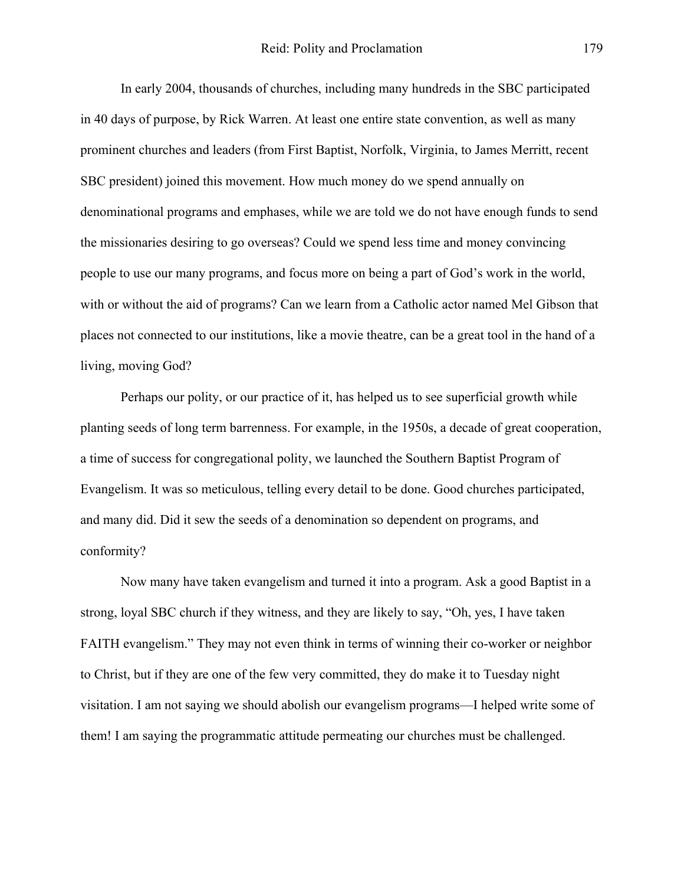In early 2004, thousands of churches, including many hundreds in the SBC participated in 40 days of purpose, by Rick Warren. At least one entire state convention, as well as many prominent churches and leaders (from First Baptist, Norfolk, Virginia, to James Merritt, recent SBC president) joined this movement. How much money do we spend annually on denominational programs and emphases, while we are told we do not have enough funds to send the missionaries desiring to go overseas? Could we spend less time and money convincing people to use our many programs, and focus more on being a part of God's work in the world, with or without the aid of programs? Can we learn from a Catholic actor named Mel Gibson that places not connected to our institutions, like a movie theatre, can be a great tool in the hand of a living, moving God?

Perhaps our polity, or our practice of it, has helped us to see superficial growth while planting seeds of long term barrenness. For example, in the 1950s, a decade of great cooperation, a time of success for congregational polity, we launched the Southern Baptist Program of Evangelism. It was so meticulous, telling every detail to be done. Good churches participated, and many did. Did it sew the seeds of a denomination so dependent on programs, and conformity?

Now many have taken evangelism and turned it into a program. Ask a good Baptist in a strong, loyal SBC church if they witness, and they are likely to say, "Oh, yes, I have taken FAITH evangelism." They may not even think in terms of winning their co-worker or neighbor to Christ, but if they are one of the few very committed, they do make it to Tuesday night visitation. I am not saying we should abolish our evangelism programs—I helped write some of them! I am saying the programmatic attitude permeating our churches must be challenged.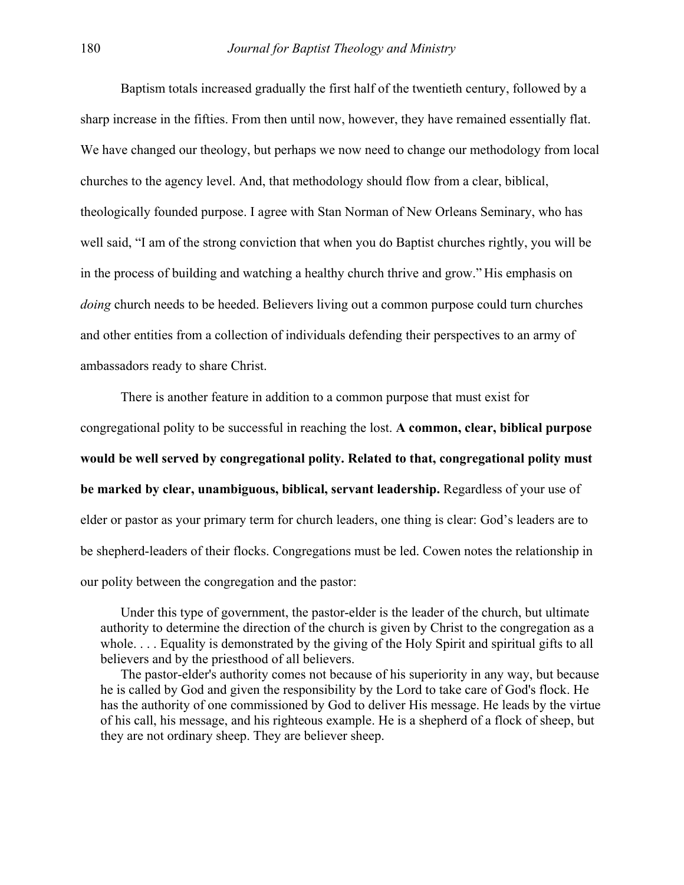Baptism totals increased gradually the first half of the twentieth century, followed by a sharp increase in the fifties. From then until now, however, they have remained essentially flat. We have changed our theology, but perhaps we now need to change our methodology from local churches to the agency level. And, that methodology should flow from a clear, biblical, theologically founded purpose. I agree with Stan Norman of New Orleans Seminary, who has well said, "I am of the strong conviction that when you do Baptist churches rightly, you will be in the process of building and watching a healthy church thrive and grow." His emphasis on *doing* church needs to be heeded. Believers living out a common purpose could turn churches and other entities from a collection of individuals defending their perspectives to an army of ambassadors ready to share Christ.

There is another feature in addition to a common purpose that must exist for congregational polity to be successful in reaching the lost. **A common, clear, biblical purpose would be well served by congregational polity. Related to that, congregational polity must be marked by clear, unambiguous, biblical, servant leadership.** Regardless of your use of elder or pastor as your primary term for church leaders, one thing is clear: God's leaders are to be shepherd-leaders of their flocks. Congregations must be led. Cowen notes the relationship in our polity between the congregation and the pastor:

Under this type of government, the pastor-elder is the leader of the church, but ultimate authority to determine the direction of the church is given by Christ to the congregation as a whole. . . . Equality is demonstrated by the giving of the Holy Spirit and spiritual gifts to all believers and by the priesthood of all believers.

The pastor-elder's authority comes not because of his superiority in any way, but because he is called by God and given the responsibility by the Lord to take care of God's flock. He has the authority of one commissioned by God to deliver His message. He leads by the virtue of his call, his message, and his righteous example. He is a shepherd of a flock of sheep, but they are not ordinary sheep. They are believer sheep.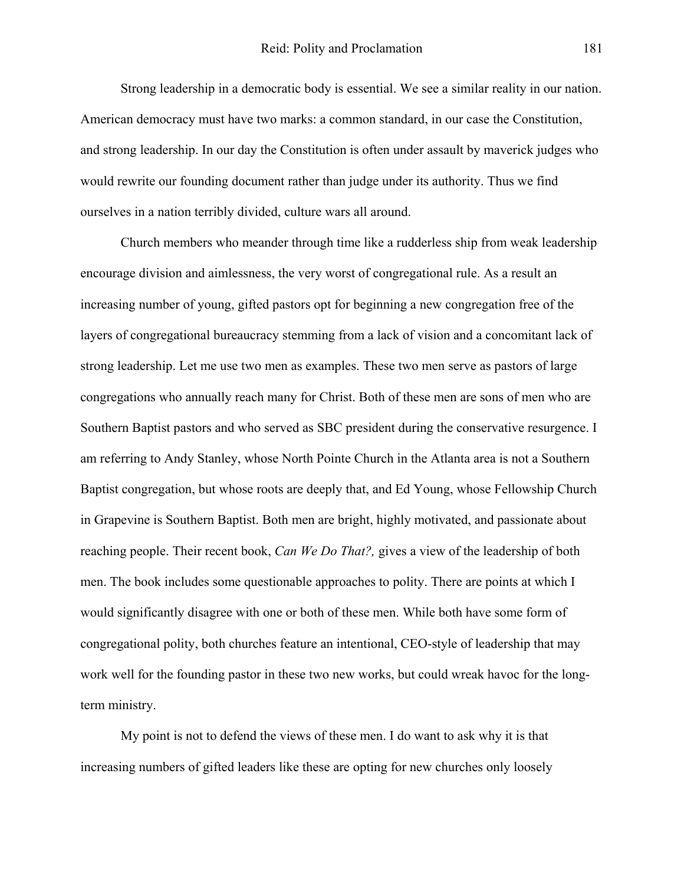Strong leadership in a democratic body is essential. We see a similar reality in our nation. American democracy must have two marks: a common standard, in our case the Constitution, and strong leadership. In our day the Constitution is often under assault by maverick judges who would rewrite our founding document rather than judge under its authority. Thus we find ourselves in a nation terribly divided, culture wars all around.

Church members who meander through time like a rudderless ship from weak leadership encourage division and aimlessness, the very worst of congregational rule. As a result an increasing number of young, gifted pastors opt for beginning a new congregation free of the layers of congregational bureaucracy stemming from a lack of vision and a concomitant lack of strong leadership. Let me use two men as examples. These two men serve as pastors of large congregations who annually reach many for Christ. Both of these men are sons of men who are Southern Baptist pastors and who served as SBC president during the conservative resurgence. I am referring to Andy Stanley, whose North Pointe Church in the Atlanta area is not a Southern Baptist congregation, but whose roots are deeply that, and Ed Young, whose Fellowship Church in Grapevine is Southern Baptist. Both men are bright, highly motivated, and passionate about reaching people. Their recent book, *Can We Do That?,* gives a view of the leadership of both men. The book includes some questionable approaches to polity. There are points at which I would significantly disagree with one or both of these men. While both have some form of congregational polity, both churches feature an intentional, CEO-style of leadership that may work well for the founding pastor in these two new works, but could wreak havoc for the longterm ministry.

My point is not to defend the views of these men. I do want to ask why it is that increasing numbers of gifted leaders like these are opting for new churches only loosely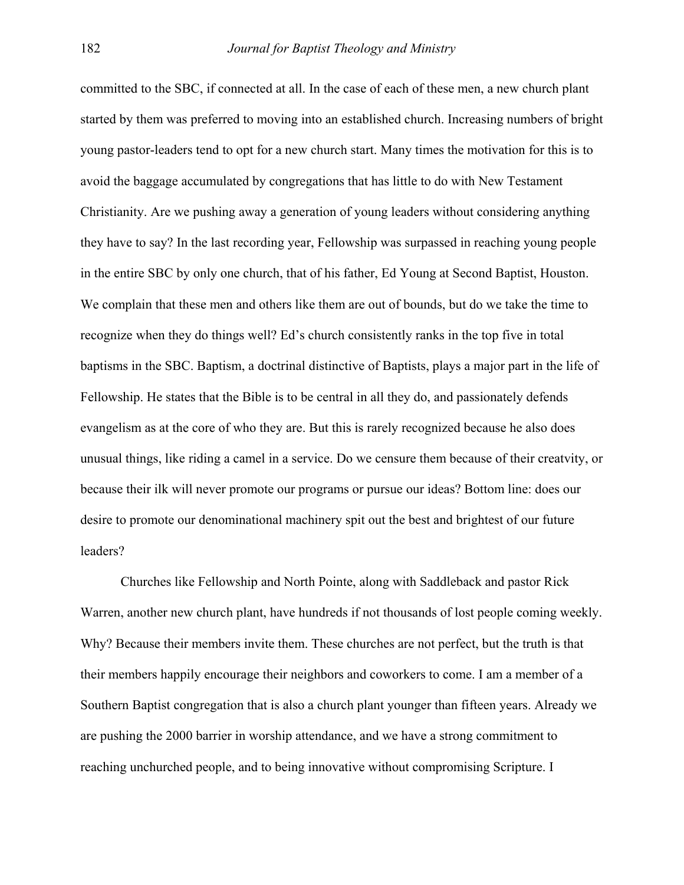committed to the SBC, if connected at all. In the case of each of these men, a new church plant started by them was preferred to moving into an established church. Increasing numbers of bright young pastor-leaders tend to opt for a new church start. Many times the motivation for this is to avoid the baggage accumulated by congregations that has little to do with New Testament Christianity. Are we pushing away a generation of young leaders without considering anything they have to say? In the last recording year, Fellowship was surpassed in reaching young people in the entire SBC by only one church, that of his father, Ed Young at Second Baptist, Houston. We complain that these men and others like them are out of bounds, but do we take the time to recognize when they do things well? Ed's church consistently ranks in the top five in total baptisms in the SBC. Baptism, a doctrinal distinctive of Baptists, plays a major part in the life of Fellowship. He states that the Bible is to be central in all they do, and passionately defends evangelism as at the core of who they are. But this is rarely recognized because he also does unusual things, like riding a camel in a service. Do we censure them because of their creatvity, or because their ilk will never promote our programs or pursue our ideas? Bottom line: does our desire to promote our denominational machinery spit out the best and brightest of our future leaders?

Churches like Fellowship and North Pointe, along with Saddleback and pastor Rick Warren, another new church plant, have hundreds if not thousands of lost people coming weekly. Why? Because their members invite them. These churches are not perfect, but the truth is that their members happily encourage their neighbors and coworkers to come. I am a member of a Southern Baptist congregation that is also a church plant younger than fifteen years. Already we are pushing the 2000 barrier in worship attendance, and we have a strong commitment to reaching unchurched people, and to being innovative without compromising Scripture. I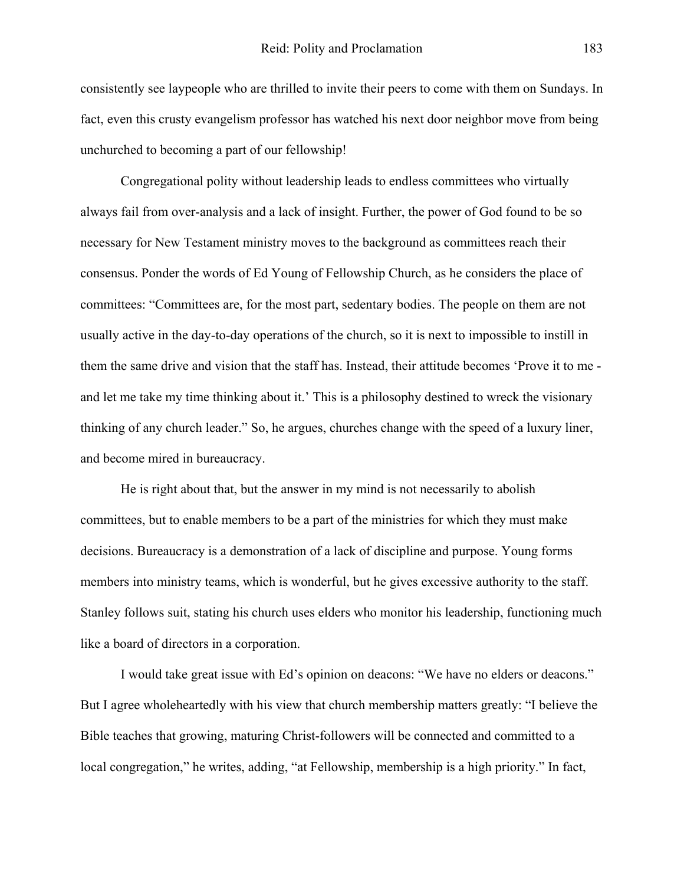consistently see laypeople who are thrilled to invite their peers to come with them on Sundays. In fact, even this crusty evangelism professor has watched his next door neighbor move from being unchurched to becoming a part of our fellowship!

Congregational polity without leadership leads to endless committees who virtually always fail from over-analysis and a lack of insight. Further, the power of God found to be so necessary for New Testament ministry moves to the background as committees reach their consensus. Ponder the words of Ed Young of Fellowship Church, as he considers the place of committees: "Committees are, for the most part, sedentary bodies. The people on them are not usually active in the day-to-day operations of the church, so it is next to impossible to instill in them the same drive and vision that the staff has. Instead, their attitude becomes 'Prove it to me and let me take my time thinking about it.' This is a philosophy destined to wreck the visionary thinking of any church leader." So, he argues, churches change with the speed of a luxury liner, and become mired in bureaucracy.

He is right about that, but the answer in my mind is not necessarily to abolish committees, but to enable members to be a part of the ministries for which they must make decisions. Bureaucracy is a demonstration of a lack of discipline and purpose. Young forms members into ministry teams, which is wonderful, but he gives excessive authority to the staff. Stanley follows suit, stating his church uses elders who monitor his leadership, functioning much like a board of directors in a corporation.

I would take great issue with Ed's opinion on deacons: "We have no elders or deacons." But I agree wholeheartedly with his view that church membership matters greatly: "I believe the Bible teaches that growing, maturing Christ-followers will be connected and committed to a local congregation," he writes, adding, "at Fellowship, membership is a high priority." In fact,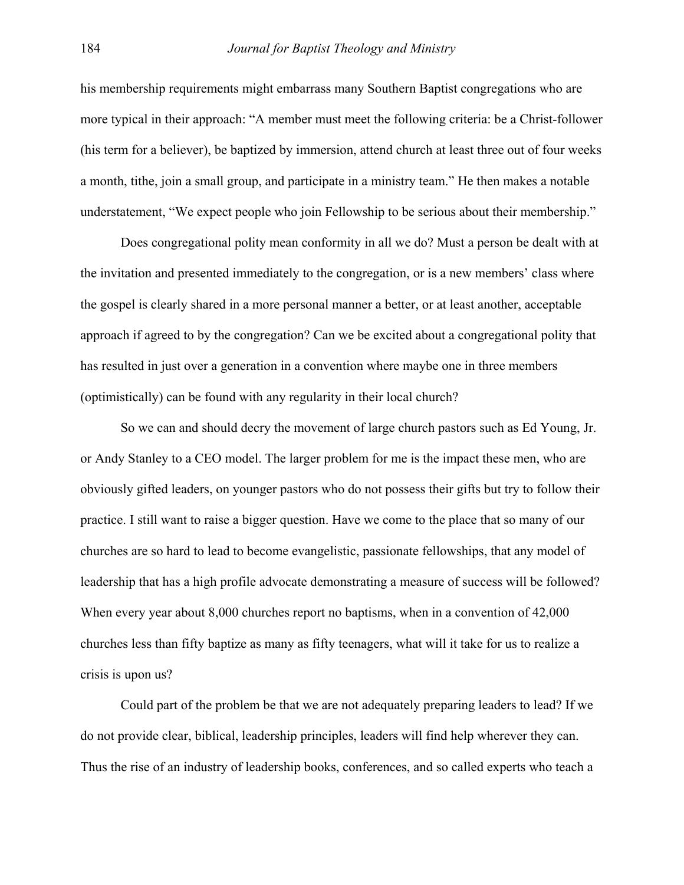his membership requirements might embarrass many Southern Baptist congregations who are more typical in their approach: "A member must meet the following criteria: be a Christ-follower (his term for a believer), be baptized by immersion, attend church at least three out of four weeks a month, tithe, join a small group, and participate in a ministry team." He then makes a notable understatement, "We expect people who join Fellowship to be serious about their membership."

Does congregational polity mean conformity in all we do? Must a person be dealt with at the invitation and presented immediately to the congregation, or is a new members' class where the gospel is clearly shared in a more personal manner a better, or at least another, acceptable approach if agreed to by the congregation? Can we be excited about a congregational polity that has resulted in just over a generation in a convention where maybe one in three members (optimistically) can be found with any regularity in their local church?

So we can and should decry the movement of large church pastors such as Ed Young, Jr. or Andy Stanley to a CEO model. The larger problem for me is the impact these men, who are obviously gifted leaders, on younger pastors who do not possess their gifts but try to follow their practice. I still want to raise a bigger question. Have we come to the place that so many of our churches are so hard to lead to become evangelistic, passionate fellowships, that any model of leadership that has a high profile advocate demonstrating a measure of success will be followed? When every year about 8,000 churches report no baptisms, when in a convention of 42,000 churches less than fifty baptize as many as fifty teenagers, what will it take for us to realize a crisis is upon us?

Could part of the problem be that we are not adequately preparing leaders to lead? If we do not provide clear, biblical, leadership principles, leaders will find help wherever they can. Thus the rise of an industry of leadership books, conferences, and so called experts who teach a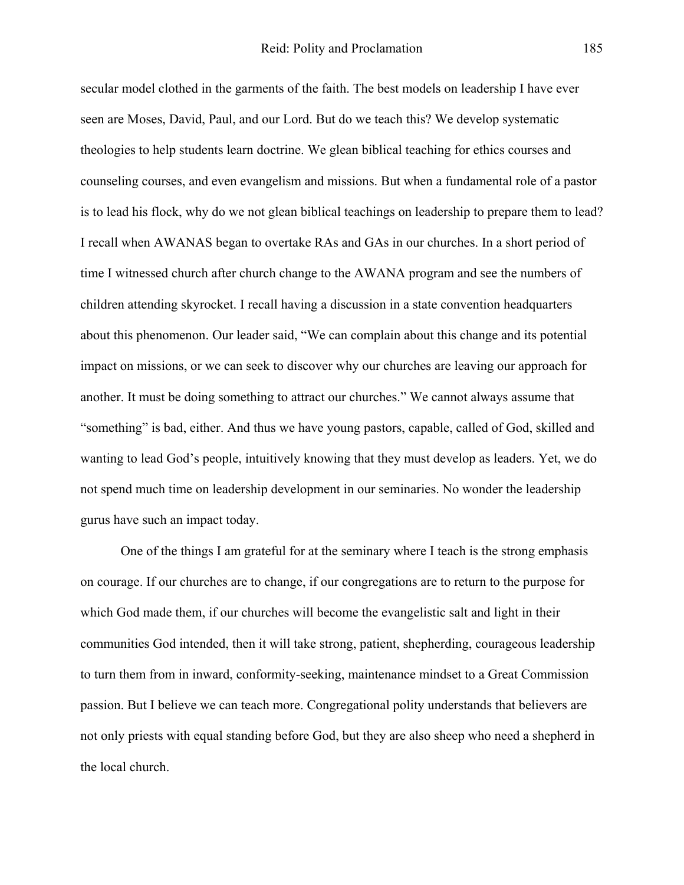secular model clothed in the garments of the faith. The best models on leadership I have ever seen are Moses, David, Paul, and our Lord. But do we teach this? We develop systematic theologies to help students learn doctrine. We glean biblical teaching for ethics courses and counseling courses, and even evangelism and missions. But when a fundamental role of a pastor is to lead his flock, why do we not glean biblical teachings on leadership to prepare them to lead? I recall when AWANAS began to overtake RAs and GAs in our churches. In a short period of time I witnessed church after church change to the AWANA program and see the numbers of children attending skyrocket. I recall having a discussion in a state convention headquarters about this phenomenon. Our leader said, "We can complain about this change and its potential impact on missions, or we can seek to discover why our churches are leaving our approach for another. It must be doing something to attract our churches." We cannot always assume that "something" is bad, either. And thus we have young pastors, capable, called of God, skilled and wanting to lead God's people, intuitively knowing that they must develop as leaders. Yet, we do not spend much time on leadership development in our seminaries. No wonder the leadership gurus have such an impact today.

One of the things I am grateful for at the seminary where I teach is the strong emphasis on courage. If our churches are to change, if our congregations are to return to the purpose for which God made them, if our churches will become the evangelistic salt and light in their communities God intended, then it will take strong, patient, shepherding, courageous leadership to turn them from in inward, conformity-seeking, maintenance mindset to a Great Commission passion. But I believe we can teach more. Congregational polity understands that believers are not only priests with equal standing before God, but they are also sheep who need a shepherd in the local church.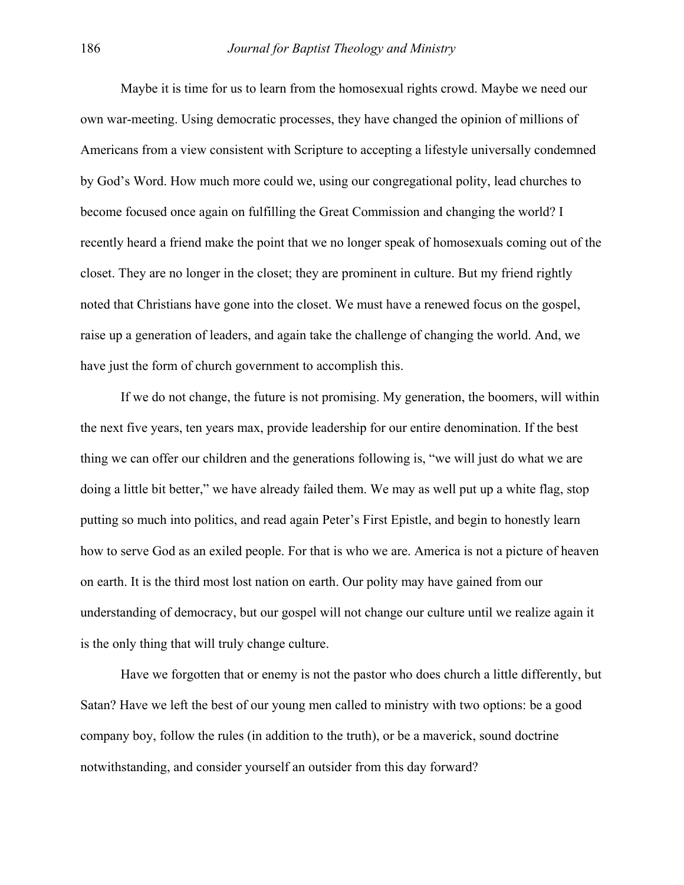Maybe it is time for us to learn from the homosexual rights crowd. Maybe we need our own war-meeting. Using democratic processes, they have changed the opinion of millions of Americans from a view consistent with Scripture to accepting a lifestyle universally condemned by God's Word. How much more could we, using our congregational polity, lead churches to become focused once again on fulfilling the Great Commission and changing the world? I recently heard a friend make the point that we no longer speak of homosexuals coming out of the closet. They are no longer in the closet; they are prominent in culture. But my friend rightly noted that Christians have gone into the closet. We must have a renewed focus on the gospel, raise up a generation of leaders, and again take the challenge of changing the world. And, we have just the form of church government to accomplish this.

If we do not change, the future is not promising. My generation, the boomers, will within the next five years, ten years max, provide leadership for our entire denomination. If the best thing we can offer our children and the generations following is, "we will just do what we are doing a little bit better," we have already failed them. We may as well put up a white flag, stop putting so much into politics, and read again Peter's First Epistle, and begin to honestly learn how to serve God as an exiled people. For that is who we are. America is not a picture of heaven on earth. It is the third most lost nation on earth. Our polity may have gained from our understanding of democracy, but our gospel will not change our culture until we realize again it is the only thing that will truly change culture.

Have we forgotten that or enemy is not the pastor who does church a little differently, but Satan? Have we left the best of our young men called to ministry with two options: be a good company boy, follow the rules (in addition to the truth), or be a maverick, sound doctrine notwithstanding, and consider yourself an outsider from this day forward?